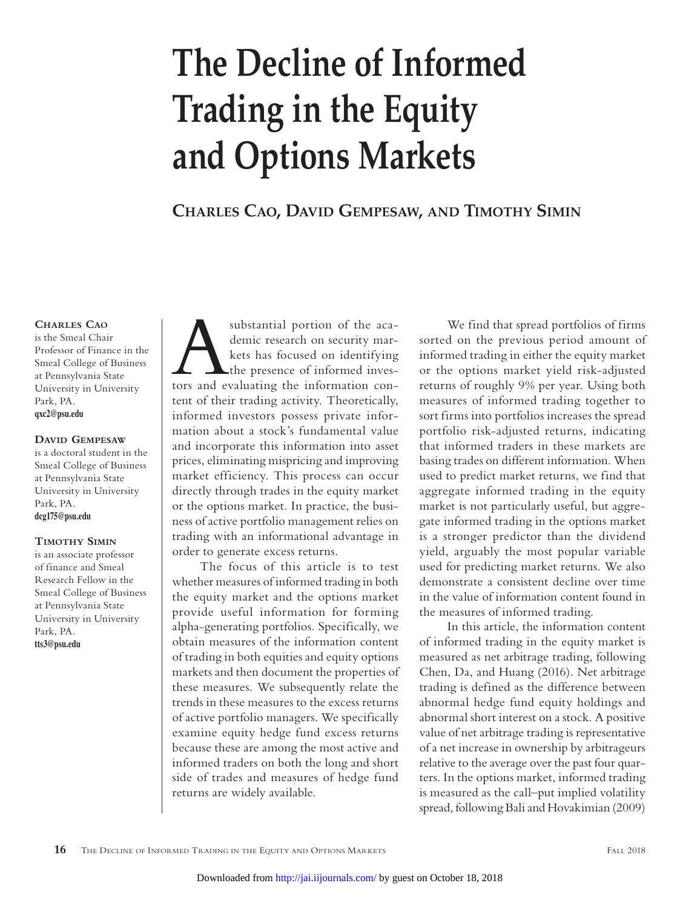# **The Decline of Informed Trading in the Equity and Options Markets**

**Charles Cao, David Gempesaw, and Timothy Simin**

#### **Charles Cao**

is the Smeal Chair Professor of Finance in the Smeal College of Business at Pennsylvania State University in University Park, PA. **qxc2@psu.edu**

#### **David Gempesaw**

is a doctoral student in the Smeal College of Business at Pennsylvania State University in University Park, PA. **dcg175@psu.edu**

#### **Timothy Simin**

is an associate professor of finance and Smeal Research Fellow in the Smeal College of Business at Pennsylvania State University in University Park, PA. **tts3@psu.edu**

substantial portion of the aca-<br>demic research on security mar-<br>kets has focused on identifying<br>the presence of informed inves-<br>tors and evaluating the information condemic research on security markets has focused on identifying the presence of informed investent of their trading activity. Theoretically, informed investors possess private information about a stock's fundamental value and incorporate this information into asset prices, eliminating mispricing and improving market efficiency. This process can occur directly through trades in the equity market or the options market. In practice, the business of active portfolio management relies on trading with an informational advantage in order to generate excess returns.

The focus of this article is to test whether measures of informed trading in both the equity market and the options market provide useful information for forming alpha-generating portfolios. Specifically, we obtain measures of the information content of trading in both equities and equity options markets and then document the properties of these measures. We subsequently relate the trends in these measures to the excess returns of active portfolio managers. We specifically examine equity hedge fund excess returns because these are among the most active and informed traders on both the long and short side of trades and measures of hedge fund returns are widely available.

We find that spread portfolios of firms sorted on the previous period amount of informed trading in either the equity market or the options market yield risk-adjusted returns of roughly 9% per year. Using both measures of informed trading together to sort firms into portfolios increases the spread portfolio risk-adjusted returns, indicating that informed traders in these markets are basing trades on different information. When used to predict market returns, we find that aggregate informed trading in the equity market is not particularly useful, but aggregate informed trading in the options market is a stronger predictor than the dividend yield, arguably the most popular variable used for predicting market returns. We also demonstrate a consistent decline over time in the value of information content found in the measures of informed trading.

In this article, the information content of informed trading in the equity market is measured as net arbitrage trading, following Chen, Da, and Huang (2016). Net arbitrage trading is defined as the difference between abnormal hedge fund equity holdings and abnormal short interest on a stock. A positive value of net arbitrage trading is representative of a net increase in ownership by arbitrageurs relative to the average over the past four quarters. In the options market, informed trading is measured as the call–put implied volatility spread, following Bali and Hovakimian (2009)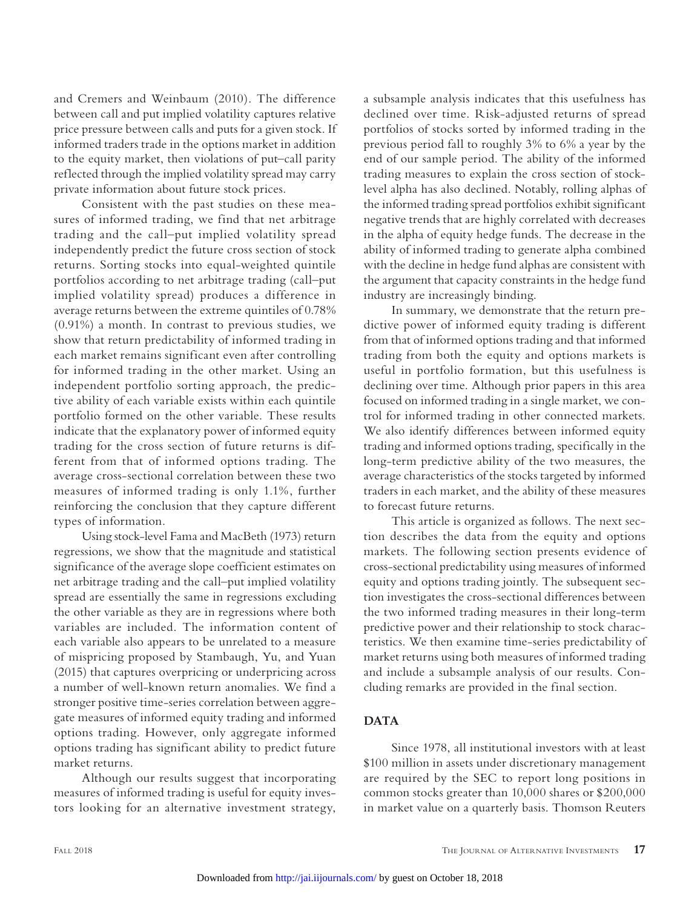and Cremers and Weinbaum (2010). The difference between call and put implied volatility captures relative price pressure between calls and puts for a given stock. If informed traders trade in the options market in addition to the equity market, then violations of put–call parity reflected through the implied volatility spread may carry private information about future stock prices.

Consistent with the past studies on these measures of informed trading, we find that net arbitrage trading and the call–put implied volatility spread independently predict the future cross section of stock returns. Sorting stocks into equal-weighted quintile portfolios according to net arbitrage trading (call–put implied volatility spread) produces a difference in average returns between the extreme quintiles of 0.78% (0.91%) a month. In contrast to previous studies, we show that return predictability of informed trading in each market remains significant even after controlling for informed trading in the other market. Using an independent portfolio sorting approach, the predictive ability of each variable exists within each quintile portfolio formed on the other variable. These results indicate that the explanatory power of informed equity trading for the cross section of future returns is different from that of informed options trading. The average cross-sectional correlation between these two measures of informed trading is only 1.1%, further reinforcing the conclusion that they capture different types of information.

Using stock-level Fama and MacBeth (1973) return regressions, we show that the magnitude and statistical significance of the average slope coefficient estimates on net arbitrage trading and the call–put implied volatility spread are essentially the same in regressions excluding the other variable as they are in regressions where both variables are included. The information content of each variable also appears to be unrelated to a measure of mispricing proposed by Stambaugh, Yu, and Yuan (2015) that captures overpricing or underpricing across a number of well-known return anomalies. We find a stronger positive time-series correlation between aggregate measures of informed equity trading and informed options trading. However, only aggregate informed options trading has significant ability to predict future market returns.

Although our results suggest that incorporating measures of informed trading is useful for equity investors looking for an alternative investment strategy,

a subsample analysis indicates that this usefulness has declined over time. Risk-adjusted returns of spread portfolios of stocks sorted by informed trading in the previous period fall to roughly 3% to 6% a year by the end of our sample period. The ability of the informed trading measures to explain the cross section of stocklevel alpha has also declined. Notably, rolling alphas of the informed trading spread portfolios exhibit significant negative trends that are highly correlated with decreases in the alpha of equity hedge funds. The decrease in the ability of informed trading to generate alpha combined with the decline in hedge fund alphas are consistent with the argument that capacity constraints in the hedge fund industry are increasingly binding.

In summary, we demonstrate that the return predictive power of informed equity trading is different from that of informed options trading and that informed trading from both the equity and options markets is useful in portfolio formation, but this usefulness is declining over time. Although prior papers in this area focused on informed trading in a single market, we control for informed trading in other connected markets. We also identify differences between informed equity trading and informed options trading, specifically in the long-term predictive ability of the two measures, the average characteristics of the stocks targeted by informed traders in each market, and the ability of these measures to forecast future returns.

This article is organized as follows. The next section describes the data from the equity and options markets. The following section presents evidence of cross-sectional predictability using measures of informed equity and options trading jointly. The subsequent section investigates the cross-sectional differences between the two informed trading measures in their long-term predictive power and their relationship to stock characteristics. We then examine time-series predictability of market returns using both measures of informed trading and include a subsample analysis of our results. Concluding remarks are provided in the final section.

## **DATA**

Since 1978, all institutional investors with at least \$100 million in assets under discretionary management are required by the SEC to report long positions in common stocks greater than 10,000 shares or \$200,000 in market value on a quarterly basis. Thomson Reuters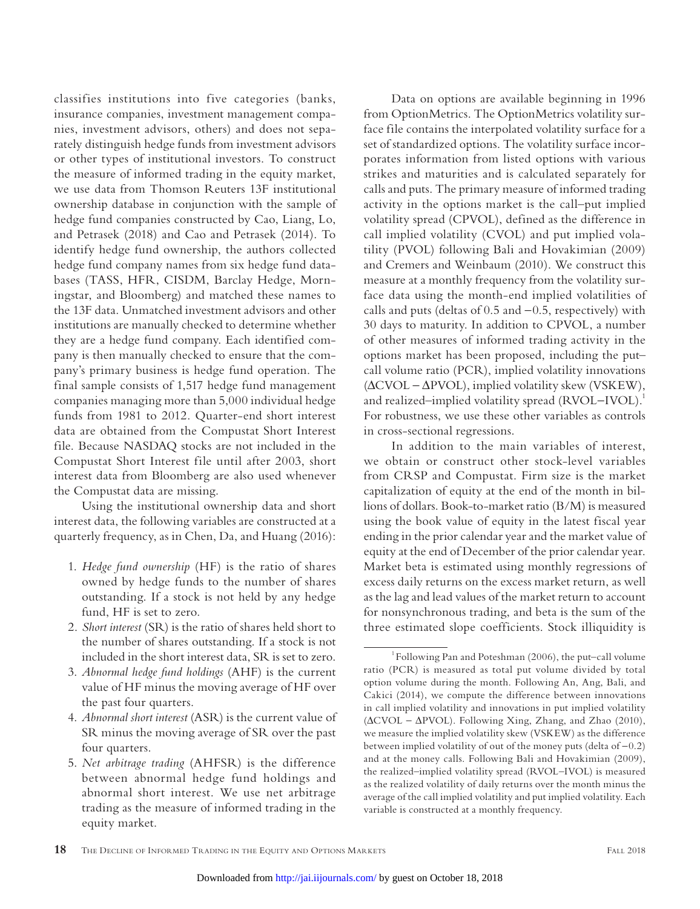classifies institutions into five categories (banks, insurance companies, investment management companies, investment advisors, others) and does not separately distinguish hedge funds from investment advisors or other types of institutional investors. To construct the measure of informed trading in the equity market, we use data from Thomson Reuters 13F institutional ownership database in conjunction with the sample of hedge fund companies constructed by Cao, Liang, Lo, and Petrasek (2018) and Cao and Petrasek (2014). To identify hedge fund ownership, the authors collected hedge fund company names from six hedge fund databases (TASS, HFR, CISDM, Barclay Hedge, Morningstar, and Bloomberg) and matched these names to the 13F data. Unmatched investment advisors and other institutions are manually checked to determine whether they are a hedge fund company. Each identified company is then manually checked to ensure that the company's primary business is hedge fund operation. The final sample consists of 1,517 hedge fund management companies managing more than 5,000 individual hedge funds from 1981 to 2012. Quarter-end short interest data are obtained from the Compustat Short Interest file. Because NASDAQ stocks are not included in the Compustat Short Interest file until after 2003, short interest data from Bloomberg are also used whenever the Compustat data are missing.

Using the institutional ownership data and short interest data, the following variables are constructed at a quarterly frequency, as in Chen, Da, and Huang (2016):

- 1. *Hedge fund ownership* (HF) is the ratio of shares owned by hedge funds to the number of shares outstanding. If a stock is not held by any hedge fund, HF is set to zero.
- 2. *Short interest* (SR) is the ratio of shares held short to the number of shares outstanding. If a stock is not included in the short interest data, SR is set to zero.
- 3. *Abnormal hedge fund holdings* (AHF) is the current value of HF minus the moving average of HF over the past four quarters.
- 4. *Abnormal short interest* (ASR) is the current value of SR minus the moving average of SR over the past four quarters.
- 5. *Net arbitrage trading* (AHFSR) is the difference between abnormal hedge fund holdings and abnormal short interest. We use net arbitrage trading as the measure of informed trading in the equity market.

Data on options are available beginning in 1996 from OptionMetrics. The OptionMetrics volatility surface file contains the interpolated volatility surface for a set of standardized options. The volatility surface incorporates information from listed options with various strikes and maturities and is calculated separately for calls and puts. The primary measure of informed trading activity in the options market is the call–put implied volatility spread (CPVOL), defined as the difference in call implied volatility (CVOL) and put implied volatility (PVOL) following Bali and Hovakimian (2009) and Cremers and Weinbaum (2010). We construct this measure at a monthly frequency from the volatility surface data using the month-end implied volatilities of calls and puts (deltas of  $0.5$  and  $-0.5$ , respectively) with 30 days to maturity. In addition to CPVOL, a number of other measures of informed trading activity in the options market has been proposed, including the put– call volume ratio (PCR), implied volatility innovations (∆CVOL - ∆PVOL), implied volatility skew (VSKEW), and realized–implied volatility spread (RVOL–IVOL).<sup>1</sup> For robustness, we use these other variables as controls in cross-sectional regressions.

In addition to the main variables of interest, we obtain or construct other stock-level variables from CRSP and Compustat. Firm size is the market capitalization of equity at the end of the month in billions of dollars. Book-to-market ratio (B/M) is measured using the book value of equity in the latest fiscal year ending in the prior calendar year and the market value of equity at the end of December of the prior calendar year. Market beta is estimated using monthly regressions of excess daily returns on the excess market return, as well as the lag and lead values of the market return to account for nonsynchronous trading, and beta is the sum of the three estimated slope coefficients. Stock illiquidity is

<sup>1</sup> Following Pan and Poteshman (2006), the put–call volume ratio (PCR) is measured as total put volume divided by total option volume during the month. Following An, Ang, Bali, and Cakici (2014), we compute the difference between innovations in call implied volatility and innovations in put implied volatility (∆CVOL - ∆PVOL). Following Xing, Zhang, and Zhao (2010), we measure the implied volatility skew (VSKEW) as the difference between implied volatility of out of the money puts (delta of  $-0.2$ ) and at the money calls. Following Bali and Hovakimian (2009), the realized–implied volatility spread (RVOL–IVOL) is measured as the realized volatility of daily returns over the month minus the average of the call implied volatility and put implied volatility. Each variable is constructed at a monthly frequency.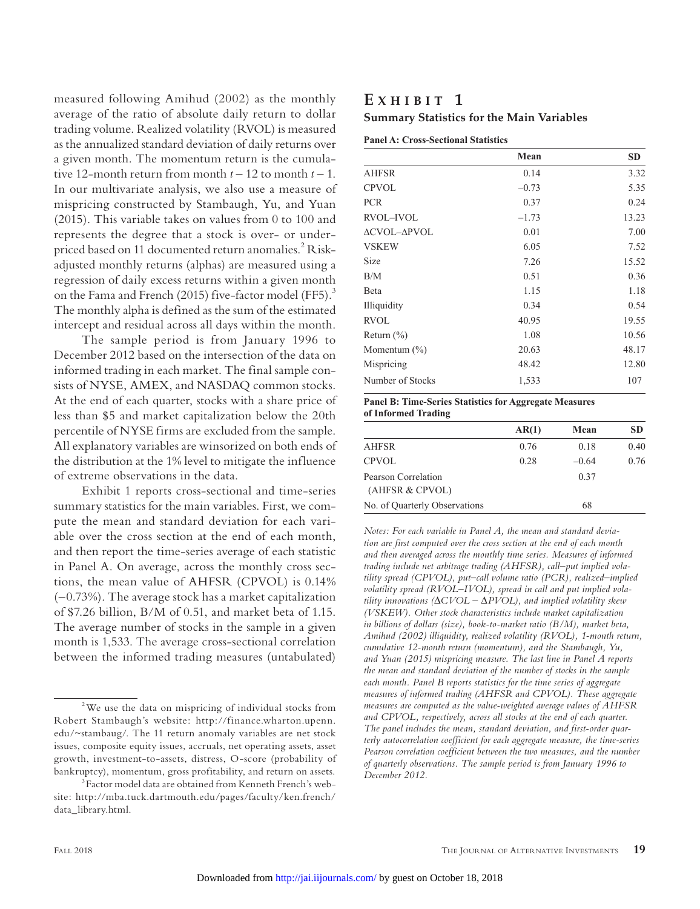measured following Amihud (2002) as the monthly average of the ratio of absolute daily return to dollar trading volume. Realized volatility (RVOL) is measured as the annualized standard deviation of daily returns over a given month. The momentum return is the cumulative 12-month return from month  $t - 12$  to month  $t - 1$ . In our multivariate analysis, we also use a measure of mispricing constructed by Stambaugh, Yu, and Yuan (2015). This variable takes on values from 0 to 100 and represents the degree that a stock is over- or underpriced based on 11 documented return anomalies.<sup>2</sup> Riskadjusted monthly returns (alphas) are measured using a regression of daily excess returns within a given month on the Fama and French (2015) five-factor model (FF5).<sup>3</sup> The monthly alpha is defined as the sum of the estimated intercept and residual across all days within the month.

The sample period is from January 1996 to December 2012 based on the intersection of the data on informed trading in each market. The final sample consists of NYSE, AMEX, and NASDAQ common stocks. At the end of each quarter, stocks with a share price of less than \$5 and market capitalization below the 20th percentile of NYSE firms are excluded from the sample. All explanatory variables are winsorized on both ends of the distribution at the 1% level to mitigate the influence of extreme observations in the data.

Exhibit 1 reports cross-sectional and time-series summary statistics for the main variables. First, we compute the mean and standard deviation for each variable over the cross section at the end of each month, and then report the time-series average of each statistic in Panel A. On average, across the monthly cross sections, the mean value of AHFSR (CPVOL) is 0.14% (-0.73%). The average stock has a market capitalization of \$7.26 billion, B/M of 0.51, and market beta of 1.15. The average number of stocks in the sample in a given month is 1,533. The average cross-sectional correlation between the informed trading measures (untabulated)

## **E x h i b i t 1 Summary Statistics for the Main Variables**

|                  | Mean    | <b>SD</b> |
|------------------|---------|-----------|
| <b>AHFSR</b>     | 0.14    | 3.32      |
| <b>CPVOL</b>     | $-0.73$ | 5.35      |
| <b>PCR</b>       | 0.37    | 0.24      |
| <b>RVOL-IVOL</b> | $-1.73$ | 13.23     |
| ΔCVOL-ΔPVOL      | 0.01    | 7.00      |
| <b>VSKEW</b>     | 6.05    | 7.52      |
| <b>Size</b>      | 7.26    | 15.52     |
| B/M              | 0.51    | 0.36      |
| Beta             | 1.15    | 1.18      |
| Illiquidity      | 0.34    | 0.54      |
| <b>RVOL</b>      | 40.95   | 19.55     |
| Return $(\% )$   | 1.08    | 10.56     |
| Momentum $(\% )$ | 20.63   | 48.17     |
| Mispricing       | 48.42   | 12.80     |
| Number of Stocks | 1,533   | 107       |

#### Panel B: Time-Series Statistics for Aggregate Measures of Informed Trading

|                                        | AR(1) | Mean    | <b>SD</b> |
|----------------------------------------|-------|---------|-----------|
| AHFSR                                  | 0.76  | 0.18    | 0.40      |
| <b>CPVOL</b>                           | 0.28  | $-0.64$ | 0.76      |
| Pearson Correlation<br>(AHFSR & CPVOL) |       | 0.37    |           |
| No. of Quarterly Observations          |       | 68      |           |
|                                        |       |         |           |

*Notes: For each variable in Panel A, the mean and standard deviation are first computed over the cross section at the end of each month and then averaged across the monthly time series. Measures of informed trading include net arbitrage trading (AHFSR), call–put implied volatility spread (CPVOL), put–call volume ratio (PCR), realized–implied volatility spread (RVOL–IVOL), spread in call and put implied volatility innovations (*∆*CVOL* - ∆*PVOL), and implied volatility skew (VSKEW). Other stock characteristics include market capitalization in billions of dollars (size), book-to-market ratio (B/M), market beta, Amihud (2002) illiquidity, realized volatility (RVOL), 1-month return, cumulative 12-month return (momentum), and the Stambaugh, Yu, and Yuan (2015) mispricing measure. The last line in Panel A reports the mean and standard deviation of the number of stocks in the sample each month. Panel B reports statistics for the time series of aggregate measures of informed trading (AHFSR and CPVOL). These aggregate measures are computed as the value-weighted average values of AHFSR and CPVOL, respectively, across all stocks at the end of each quarter. The panel includes the mean, standard deviation, and first-order quarterly autocorrelation coefficient for each aggregate measure, the time-series Pearson correlation coefficient between the two measures, and the number of quarterly observations. The sample period is from January 1996 to December 2012.*

<sup>&</sup>lt;sup>2</sup>We use the data on mispricing of individual stocks from Robert Stambaugh's website: http://finance.wharton.upenn. edu/~stambaug/. The 11 return anomaly variables are net stock issues, composite equity issues, accruals, net operating assets, asset growth, investment-to-assets, distress, O-score (probability of bankruptcy), momentum, gross profitability, and return on assets.

<sup>3</sup> Factor model data are obtained from Kenneth French's website: http://mba.tuck.dartmouth.edu/pages/faculty/ken.french/ data\_library.html.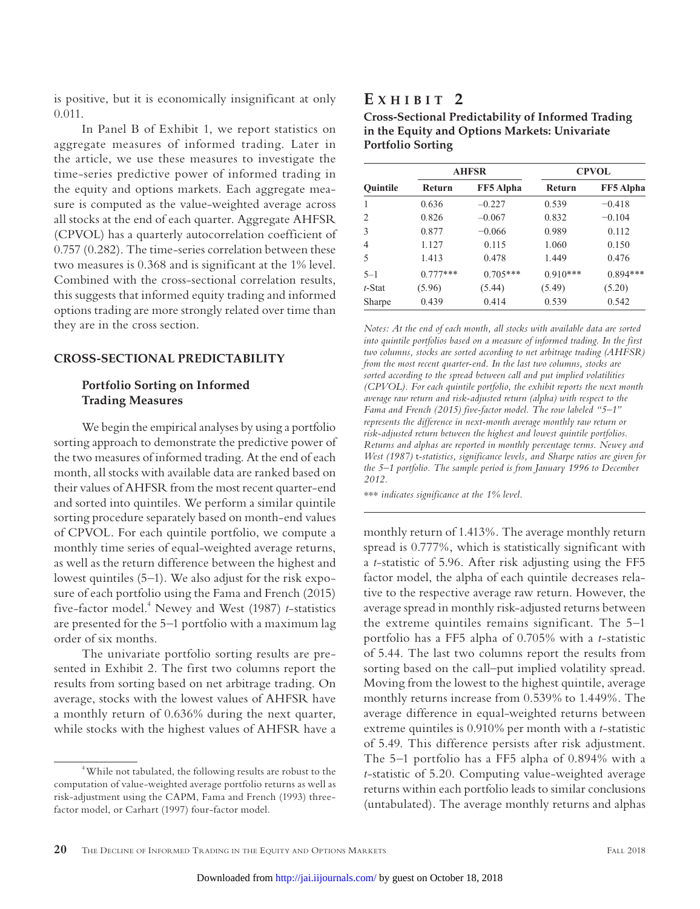is positive, but it is economically insignificant at only 0.011.

In Panel B of Exhibit 1, we report statistics on aggregate measures of informed trading. Later in the article, we use these measures to investigate the time-series predictive power of informed trading in the equity and options markets. Each aggregate measure is computed as the value-weighted average across all stocks at the end of each quarter. Aggregate AHFSR (CPVOL) has a quarterly autocorrelation coefficient of 0.757 (0.282). The time-series correlation between these two measures is 0.368 and is significant at the 1% level. Combined with the cross-sectional correlation results, this suggests that informed equity trading and informed options trading are more strongly related over time than they are in the cross section.

### **CROSS-SECTIONAL PREDICTABILITY**

## **Portfolio Sorting on Informed Trading Measures**

We begin the empirical analyses by using a portfolio sorting approach to demonstrate the predictive power of the two measures of informed trading. At the end of each month, all stocks with available data are ranked based on their values of AHFSR from the most recent quarter-end and sorted into quintiles. We perform a similar quintile sorting procedure separately based on month-end values of CPVOL. For each quintile portfolio, we compute a monthly time series of equal-weighted average returns, as well as the return difference between the highest and lowest quintiles (5–1). We also adjust for the risk exposure of each portfolio using the Fama and French (2015) five-factor model.4 Newey and West (1987) *t*-statistics are presented for the 5–1 portfolio with a maximum lag order of six months.

The univariate portfolio sorting results are presented in Exhibit 2. The first two columns report the results from sorting based on net arbitrage trading. On average, stocks with the lowest values of AHFSR have a monthly return of 0.636% during the next quarter, while stocks with the highest values of AHFSR have a

# **E x h i b i t 2**

| <b>Cross-Sectional Predictability of Informed Trading</b> |
|-----------------------------------------------------------|
| in the Equity and Options Markets: Univariate             |
| <b>Portfolio Sorting</b>                                  |

|                 |               | <b>AHFSR</b>     | <b>CPVOL</b>  |            |  |
|-----------------|---------------|------------------|---------------|------------|--|
| <b>Ouintile</b> | <b>Return</b> | <b>FF5</b> Alpha | <b>Return</b> | FF5 Alpha  |  |
|                 | 0.636         | $-0.227$         | 0.539         | $-0.418$   |  |
| 2               | 0.826         | $-0.067$         | 0.832         | $-0.104$   |  |
| 3               | 0.877         | $-0.066$         | 0.989         | 0.112      |  |
| 4               | 1.127         | 0.115            | 1.060         | 0.150      |  |
| 5               | 1.413         | 0.478            | 1.449         | 0.476      |  |
| $5 - 1$         | $0.777***$    | $0.705***$       | $0.910***$    | $0.894***$ |  |
| t-Stat          | (5.96)        | (5.44)           | (5.49)        | (5.20)     |  |
| Sharpe          | 0.439         | 0.414            | 0.539         | 0.542      |  |

*Notes: At the end of each month, all stocks with available data are sorted*  into quintile portfolios based on a measure of informed trading. In the first *two columns, stocks are sorted according to net arbitrage trading (AHFSR) from the most recent quarter-end. In the last two columns, stocks are sorted according to the spread between call and put implied volatilities (CPVOL). For each quintile portfolio, the exhibit reports the next month average raw return and risk-adjusted return (alpha) with respect to the Fama and French (2015) five-factor model. The row labeled "5–1" represents the difference in next-month average monthly raw return or risk-adjusted return between the highest and lowest quintile portfolios. Returns and alphas are reported in monthly percentage terms. Newey and West (1987)* t*-statistics, significance levels, and Sharpe ratios are given for the 5–1 portfolio. The sample period is from January 1996 to December 2012.*

\*\*\* *indicates significance at the 1% level.*

monthly return of 1.413%. The average monthly return spread is 0.777%, which is statistically significant with a *t*-statistic of 5.96. After risk adjusting using the FF5 factor model, the alpha of each quintile decreases relative to the respective average raw return. However, the average spread in monthly risk-adjusted returns between the extreme quintiles remains significant. The 5–1 portfolio has a FF5 alpha of 0.705% with a *t*-statistic of 5.44. The last two columns report the results from sorting based on the call–put implied volatility spread. Moving from the lowest to the highest quintile, average monthly returns increase from 0.539% to 1.449%. The average difference in equal-weighted returns between extreme quintiles is 0.910% per month with a *t*-statistic of 5.49. This difference persists after risk adjustment. The 5–1 portfolio has a FF5 alpha of 0.894% with a *t*-statistic of 5.20. Computing value-weighted average returns within each portfolio leads to similar conclusions (untabulated). The average monthly returns and alphas

<sup>4</sup> While not tabulated, the following results are robust to the computation of value-weighted average portfolio returns as well as risk-adjustment using the CAPM, Fama and French (1993) threefactor model, or Carhart (1997) four-factor model.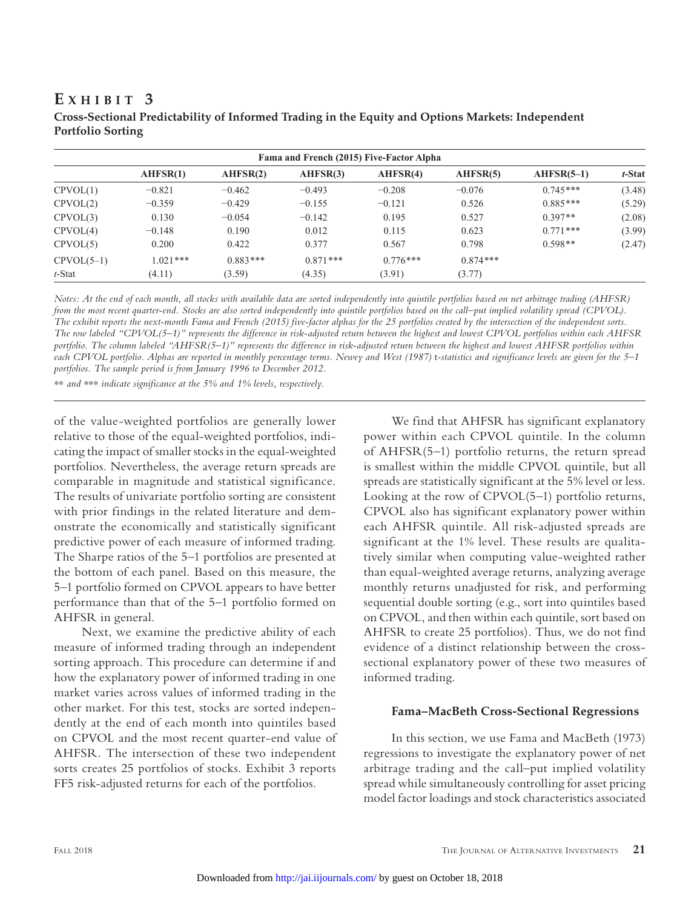| Fama and French (2015) Five-Factor Alpha |            |            |            |            |            |              |        |
|------------------------------------------|------------|------------|------------|------------|------------|--------------|--------|
|                                          | AHFSR(1)   | AHFSR(2)   | AHFSR(3)   | AHFSR(4)   | AHFSR(5)   | $AHFSR(5-1)$ | t-Stat |
| CPVOL(1)                                 | $-0.821$   | $-0.462$   | $-0.493$   | $-0.208$   | $-0.076$   | $0.745***$   | (3.48) |
| CPVOL(2)                                 | $-0.359$   | $-0.429$   | $-0.155$   | $-0.121$   | 0.526      | $0.885***$   | (5.29) |
| CPVOL(3)                                 | 0.130      | $-0.054$   | $-0.142$   | 0.195      | 0.527      | $0.397**$    | (2.08) |
| CPVOL(4)                                 | $-0.148$   | 0.190      | 0.012      | 0.115      | 0.623      | $0.771$ ***  | (3.99) |
| CPVOL(5)                                 | 0.200      | 0.422      | 0.377      | 0.567      | 0.798      | $0.598**$    | (2.47) |
| $CPVOL(5-1)$                             | $1.021***$ | $0.883***$ | $0.871***$ | $0.776***$ | $0.874***$ |              |        |
| t-Stat                                   | (4.11)     | (3.59)     | (4.35)     | (3.91)     | (3.77)     |              |        |

## **E x h i b i t 3 Cross-Sectional Predictability of Informed Trading in the Equity and Options Markets: Independent Portfolio Sorting**

*Notes: At the end of each month, all stocks with available data are sorted independently into quintile portfolios based on net arbitrage trading (AHFSR)*  from the most recent quarter-end. Stocks are also sorted independently into quintile portfolios based on the call–put implied volatility spread (CPVOL). *The exhibit reports the next-month Fama and French (2015) five-factor alphas for the 25 portfolios created by the intersection of the independent sorts. The row labeled "CPVOL(5–1)" represents the difference in risk-adjusted return between the highest and lowest CPVOL portfolios within each AHFSR portfolio. The column labeled "AHFSR(5–1)" represents the difference in risk-adjusted return between the highest and lowest AHFSR portfolios within*  each CPVOL portfolio. Alphas are reported in monthly percentage terms. Newey and West (1987) *t*-statistics and significance levels are given for the 5–1 *portfolios. The sample period is from January 1996 to December 2012.*

\*\* *and* \*\*\* *indicate significance at the 5% and 1% levels, respectively.*

of the value-weighted portfolios are generally lower relative to those of the equal-weighted portfolios, indicating the impact of smaller stocks in the equal-weighted portfolios. Nevertheless, the average return spreads are comparable in magnitude and statistical significance. The results of univariate portfolio sorting are consistent with prior findings in the related literature and demonstrate the economically and statistically significant predictive power of each measure of informed trading. The Sharpe ratios of the 5–1 portfolios are presented at the bottom of each panel. Based on this measure, the 5–1 portfolio formed on CPVOL appears to have better performance than that of the 5–1 portfolio formed on AHFSR in general.

Next, we examine the predictive ability of each measure of informed trading through an independent sorting approach. This procedure can determine if and how the explanatory power of informed trading in one market varies across values of informed trading in the other market. For this test, stocks are sorted independently at the end of each month into quintiles based on CPVOL and the most recent quarter-end value of AHFSR. The intersection of these two independent sorts creates 25 portfolios of stocks. Exhibit 3 reports FF5 risk-adjusted returns for each of the portfolios.

We find that AHFSR has significant explanatory power within each CPVOL quintile. In the column of AHFSR(5–1) portfolio returns, the return spread is smallest within the middle CPVOL quintile, but all spreads are statistically significant at the 5% level or less. Looking at the row of CPVOL(5–1) portfolio returns, CPVOL also has significant explanatory power within each AHFSR quintile. All risk-adjusted spreads are significant at the 1% level. These results are qualitatively similar when computing value-weighted rather than equal-weighted average returns, analyzing average monthly returns unadjusted for risk, and performing sequential double sorting (e.g., sort into quintiles based on CPVOL, and then within each quintile, sort based on AHFSR to create 25 portfolios). Thus, we do not find evidence of a distinct relationship between the crosssectional explanatory power of these two measures of informed trading.

## **Fama–MacBeth Cross-Sectional Regressions**

In this section, we use Fama and MacBeth (1973) regressions to investigate the explanatory power of net arbitrage trading and the call–put implied volatility spread while simultaneously controlling for asset pricing model factor loadings and stock characteristics associated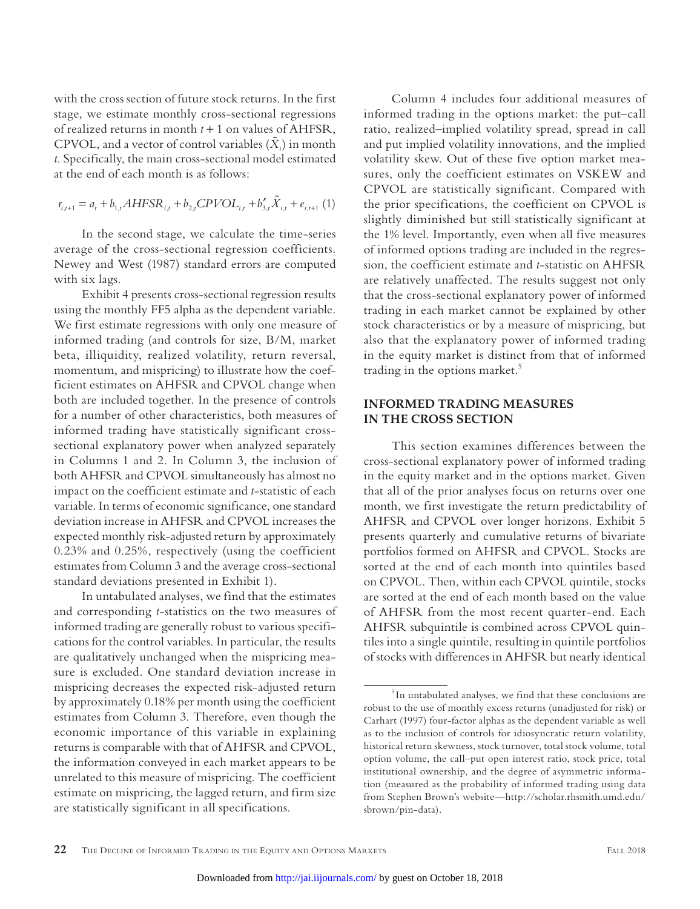with the cross section of future stock returns. In the first stage, we estimate monthly cross-sectional regressions of realized returns in month  $t + 1$  on values of AHFSR, CPVOL, and a vector of control variables  $(\tilde{X}_t)$  in month *t*. Specifically, the main cross-sectional model estimated at the end of each month is as follows:

$$
r_{i,i+1} = a_i + b_{1,i} A H F S R_{i,t} + b_{2,i} C P V O L_{i,t} + b'_{3,i} \tilde{X}_{i,t} + e_{i,i+1} (1)
$$

In the second stage, we calculate the time-series average of the cross-sectional regression coefficients. Newey and West (1987) standard errors are computed with six lags.

Exhibit 4 presents cross-sectional regression results using the monthly FF5 alpha as the dependent variable. We first estimate regressions with only one measure of informed trading (and controls for size, B/M, market beta, illiquidity, realized volatility, return reversal, momentum, and mispricing) to illustrate how the coefficient estimates on AHFSR and CPVOL change when both are included together. In the presence of controls for a number of other characteristics, both measures of informed trading have statistically significant crosssectional explanatory power when analyzed separately in Columns 1 and 2. In Column 3, the inclusion of both AHFSR and CPVOL simultaneously has almost no impact on the coefficient estimate and *t*-statistic of each variable. In terms of economic significance, one standard deviation increase in AHFSR and CPVOL increases the expected monthly risk-adjusted return by approximately 0.23% and 0.25%, respectively (using the coefficient estimates from Column 3 and the average cross-sectional standard deviations presented in Exhibit 1).

In untabulated analyses, we find that the estimates and corresponding *t*-statistics on the two measures of informed trading are generally robust to various specifications for the control variables. In particular, the results are qualitatively unchanged when the mispricing measure is excluded. One standard deviation increase in mispricing decreases the expected risk-adjusted return by approximately 0.18% per month using the coefficient estimates from Column 3. Therefore, even though the economic importance of this variable in explaining returns is comparable with that of AHFSR and CPVOL, the information conveyed in each market appears to be unrelated to this measure of mispricing. The coefficient estimate on mispricing, the lagged return, and firm size are statistically significant in all specifications.

Column 4 includes four additional measures of informed trading in the options market: the put–call ratio, realized–implied volatility spread, spread in call and put implied volatility innovations, and the implied volatility skew. Out of these five option market measures, only the coefficient estimates on VSKEW and CPVOL are statistically significant. Compared with the prior specifications, the coefficient on CPVOL is slightly diminished but still statistically significant at the 1% level. Importantly, even when all five measures of informed options trading are included in the regression, the coefficient estimate and *t*-statistic on AHFSR are relatively unaffected. The results suggest not only that the cross-sectional explanatory power of informed trading in each market cannot be explained by other stock characteristics or by a measure of mispricing, but also that the explanatory power of informed trading in the equity market is distinct from that of informed trading in the options market.<sup>5</sup>

## **INFORMED TRADING MEASURES IN THE CROSS SECTION**

This section examines differences between the cross-sectional explanatory power of informed trading in the equity market and in the options market. Given that all of the prior analyses focus on returns over one month, we first investigate the return predictability of AHFSR and CPVOL over longer horizons. Exhibit 5 presents quarterly and cumulative returns of bivariate portfolios formed on AHFSR and CPVOL. Stocks are sorted at the end of each month into quintiles based on CPVOL. Then, within each CPVOL quintile, stocks are sorted at the end of each month based on the value of AHFSR from the most recent quarter-end. Each AHFSR subquintile is combined across CPVOL quintiles into a single quintile, resulting in quintile portfolios of stocks with differences in AHFSR but nearly identical

<sup>&</sup>lt;sup>5</sup> In untabulated analyses, we find that these conclusions are robust to the use of monthly excess returns (unadjusted for risk) or Carhart (1997) four-factor alphas as the dependent variable as well as to the inclusion of controls for idiosyncratic return volatility, historical return skewness, stock turnover, total stock volume, total option volume, the call–put open interest ratio, stock price, total institutional ownership, and the degree of asymmetric information (measured as the probability of informed trading using data from Stephen Brown's website—http://scholar.rhsmith.umd.edu/ sbrown/pin-data).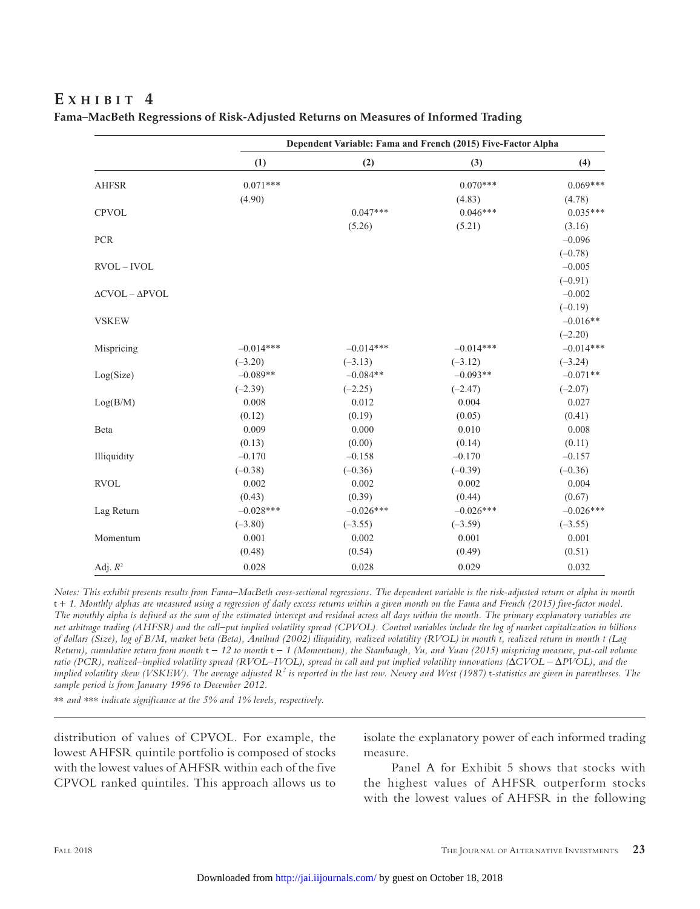# **E x h i b i t 4**

|                                     | Dependent Variable: Fama and French (2015) Five-Factor Alpha |             |             |             |  |  |
|-------------------------------------|--------------------------------------------------------------|-------------|-------------|-------------|--|--|
|                                     | (1)                                                          | (2)         | (3)         | (4)         |  |  |
| <b>AHFSR</b>                        | $0.071***$                                                   |             | $0.070***$  | $0.069***$  |  |  |
|                                     | (4.90)                                                       |             | (4.83)      | (4.78)      |  |  |
| <b>CPVOL</b>                        |                                                              | $0.047***$  | $0.046***$  | $0.035***$  |  |  |
|                                     |                                                              | (5.26)      | (5.21)      | (3.16)      |  |  |
| PCR                                 |                                                              |             |             | $-0.096$    |  |  |
|                                     |                                                              |             |             | $(-0.78)$   |  |  |
| $RVOL - IVOL$                       |                                                              |             |             | $-0.005$    |  |  |
|                                     |                                                              |             |             | $(-0.91)$   |  |  |
| $\triangle$ CVOL - $\triangle$ PVOL |                                                              |             |             | $-0.002$    |  |  |
|                                     |                                                              |             |             | $(-0.19)$   |  |  |
| <b>VSKEW</b>                        |                                                              |             |             | $-0.016**$  |  |  |
|                                     |                                                              |             |             | $(-2.20)$   |  |  |
| Mispricing                          | $-0.014***$                                                  | $-0.014***$ | $-0.014***$ | $-0.014***$ |  |  |
|                                     | $(-3.20)$                                                    | $(-3.13)$   | $(-3.12)$   | $(-3.24)$   |  |  |
| Log(Size)                           | $-0.089**$                                                   | $-0.084**$  | $-0.093**$  | $-0.071**$  |  |  |
|                                     | $(-2.39)$                                                    | $(-2.25)$   | $(-2.47)$   | $(-2.07)$   |  |  |
| Log(B/M)                            | 0.008                                                        | 0.012       | 0.004       | 0.027       |  |  |
|                                     | (0.12)                                                       | (0.19)      | (0.05)      | (0.41)      |  |  |
| Beta                                | 0.009                                                        | 0.000       | 0.010       | 0.008       |  |  |
|                                     | (0.13)                                                       | (0.00)      | (0.14)      | (0.11)      |  |  |
| Illiquidity                         | $-0.170$                                                     | $-0.158$    | $-0.170$    | $-0.157$    |  |  |
|                                     | $(-0.38)$                                                    | $(-0.36)$   | $(-0.39)$   | $(-0.36)$   |  |  |
| <b>RVOL</b>                         | 0.002                                                        | 0.002       | 0.002       | 0.004       |  |  |
|                                     | (0.43)                                                       | (0.39)      | (0.44)      | (0.67)      |  |  |
| Lag Return                          | $-0.028***$                                                  | $-0.026***$ | $-0.026***$ | $-0.026***$ |  |  |
|                                     | $(-3.80)$                                                    | $(-3.55)$   | $(-3.59)$   | $(-3.55)$   |  |  |
| Momentum                            | 0.001                                                        | 0.002       | 0.001       | 0.001       |  |  |
|                                     | (0.48)                                                       | (0.54)      | (0.49)      | (0.51)      |  |  |
| Adj. $R^2$                          | 0.028                                                        | 0.028       | 0.029       | 0.032       |  |  |

|  | Fama–MacBeth Regressions of Risk-Adjusted Returns on Measures of Informed Trading |
|--|-----------------------------------------------------------------------------------|
|  |                                                                                   |
|  |                                                                                   |

*Notes: This exhibit presents results from Fama–MacBeth cross-sectional regressions. The dependent variable is the risk-adjusted return or alpha in month*  t + *1. Monthly alphas are measured using a regression of daily excess returns within a given month on the Fama and French (2015) five-factor model. The monthly alpha is defined as the sum of the estimated intercept and residual across all days within the month. The primary explanatory variables are net arbitrage trading (AHFSR) and the call–put implied volatility spread (CPVOL). Control variables include the log of market capitalization in billions of dollars (Size), log of B/M, market beta (Beta), Amihud (2002) illiquidity, realized volatility (RVOL) in month t, realized return in month t (Lag Return), cumulative return from month*  $t - 12$  to month  $t - 1$  (Momentum), the Stambaugh, Yu, and Yuan (2015) mispricing measure, put-call volume *ratio (PCR), realized–implied volatility spread (RVOL*-*IVOL), spread in call and put implied volatility innovations (*∆*CVOL* - ∆*PVOL), and the*  implied volatility skew (VSKEW). The average adjusted R<sup>2</sup> is reported in the last row. Newey and West (1987) t-statistics are given in parentheses. The *sample period is from January 1996 to December 2012.*

\*\* *and* \*\*\* *indicate significance at the 5% and 1% levels, respectively.*

distribution of values of CPVOL. For example, the lowest AHFSR quintile portfolio is composed of stocks with the lowest values of AHFSR within each of the five CPVOL ranked quintiles. This approach allows us to isolate the explanatory power of each informed trading measure.

Panel A for Exhibit 5 shows that stocks with the highest values of AHFSR outperform stocks with the lowest values of AHFSR in the following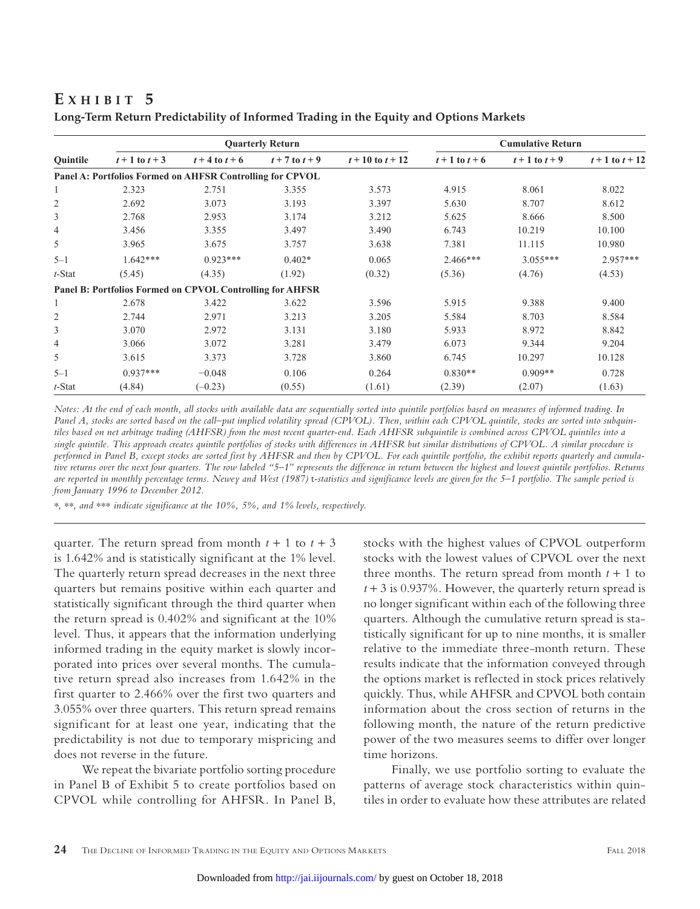# **E x h i b i t 5**

|                |                    |                                                           | <b>Quarterly Return</b> |                      | <b>Cumulative Return</b> |                    |                     |
|----------------|--------------------|-----------------------------------------------------------|-------------------------|----------------------|--------------------------|--------------------|---------------------|
| Quintile       | $t + 1$ to $t + 3$ | $t + 4$ to $t + 6$                                        | $t + 7$ to $t + 9$      | $t + 10$ to $t + 12$ | $t + 1$ to $t + 6$       | $t + 1$ to $t + 9$ | $t + 1$ to $t + 12$ |
|                |                    | Panel A: Portfolios Formed on AHFSR Controlling for CPVOL |                         |                      |                          |                    |                     |
| 1              | 2.323              | 2.751                                                     | 3.355                   | 3.573                | 4.915                    | 8.061              | 8.022               |
| $\overline{2}$ | 2.692              | 3.073                                                     | 3.193                   | 3.397                | 5.630                    | 8.707              | 8.612               |
| 3              | 2.768              | 2.953                                                     | 3.174                   | 3.212                | 5.625                    | 8.666              | 8.500               |
| 4              | 3.456              | 3.355                                                     | 3.497                   | 3.490                | 6.743                    | 10.219             | 10.100              |
| 5              | 3.965              | 3.675                                                     | 3.757                   | 3.638                | 7.381                    | 11.115             | 10.980              |
| $5 - 1$        | $1.642***$         | $0.923***$                                                | $0.402*$                | 0.065                | $2.466***$               | $3.055***$         | $2.957***$          |
| t-Stat         | (5.45)             | (4.35)                                                    | (1.92)                  | (0.32)               | (5.36)                   | (4.76)             | (4.53)              |
|                |                    | Panel B: Portfolios Formed on CPVOL Controlling for AHFSR |                         |                      |                          |                    |                     |
| 1              | 2.678              | 3.422                                                     | 3.622                   | 3.596                | 5.915                    | 9.388              | 9.400               |
| $\overline{2}$ | 2.744              | 2.971                                                     | 3.213                   | 3.205                | 5.584                    | 8.703              | 8.584               |
| 3              | 3.070              | 2.972                                                     | 3.131                   | 3.180                | 5.933                    | 8.972              | 8.842               |
| 4              | 3.066              | 3.072                                                     | 3.281                   | 3.479                | 6.073                    | 9.344              | 9.204               |
| 5              | 3.615              | 3.373                                                     | 3.728                   | 3.860                | 6.745                    | 10.297             | 10.128              |
| $5 - 1$        | $0.937***$         | $-0.048$                                                  | 0.106                   | 0.264                | $0.830**$                | $0.909**$          | 0.728               |
| t-Stat         | (4.84)             | $(-0.23)$                                                 | (0.55)                  | (1.61)               | (2.39)                   | (2.07)             | (1.63)              |

**Long-Term Return Predictability of Informed Trading in the Equity and Options Markets**

*Notes: At the end of each month, all stocks with available data are sequentially sorted into quintile portfolios based on measures of informed trading. In Panel A, stocks are sorted based on the call–put implied volatility spread (CPVOL). Then, within each CPVOL quintile, stocks are sorted into subquintiles based on net arbitrage trading (AHFSR) from the most recent quarter-end. Each AHFSR subquintile is combined across CPVOL quintiles into a single quintile. This approach creates quintile portfolios of stocks with differences in AHFSR but similar distributions of CPVOL. A similar procedure is performed in Panel B, except stocks are sorted first by AHFSR and then by CPVOL. For each quintile portfolio, the exhibit reports quarterly and cumulative returns over the next four quarters. The row labeled "5–1" represents the difference in return between the highest and lowest quintile portfolios. Returns* are reported in monthly percentage terms. Newey and West (1987) *t*-statistics and significance levels are given for the 5–1 portfolio. The sample period is *from January 1996 to December 2012.*

\**,* \*\**, and* \*\*\* *indicate significance at the 10%, 5%, and 1% levels, respectively.*

quarter. The return spread from month  $t + 1$  to  $t + 3$ is 1.642% and is statistically significant at the 1% level. The quarterly return spread decreases in the next three quarters but remains positive within each quarter and statistically significant through the third quarter when the return spread is 0.402% and significant at the 10% level. Thus, it appears that the information underlying informed trading in the equity market is slowly incorporated into prices over several months. The cumulative return spread also increases from 1.642% in the first quarter to 2.466% over the first two quarters and 3.055% over three quarters. This return spread remains significant for at least one year, indicating that the predictability is not due to temporary mispricing and does not reverse in the future.

We repeat the bivariate portfolio sorting procedure in Panel B of Exhibit 5 to create portfolios based on CPVOL while controlling for AHFSR. In Panel B,

stocks with the highest values of CPVOL outperform stocks with the lowest values of CPVOL over the next three months. The return spread from month  $t + 1$  to  $t + 3$  is 0.937%. However, the quarterly return spread is no longer significant within each of the following three quarters. Although the cumulative return spread is statistically significant for up to nine months, it is smaller relative to the immediate three-month return. These results indicate that the information conveyed through the options market is reflected in stock prices relatively quickly. Thus, while AHFSR and CPVOL both contain information about the cross section of returns in the following month, the nature of the return predictive power of the two measures seems to differ over longer time horizons.

Finally, we use portfolio sorting to evaluate the patterns of average stock characteristics within quintiles in order to evaluate how these attributes are related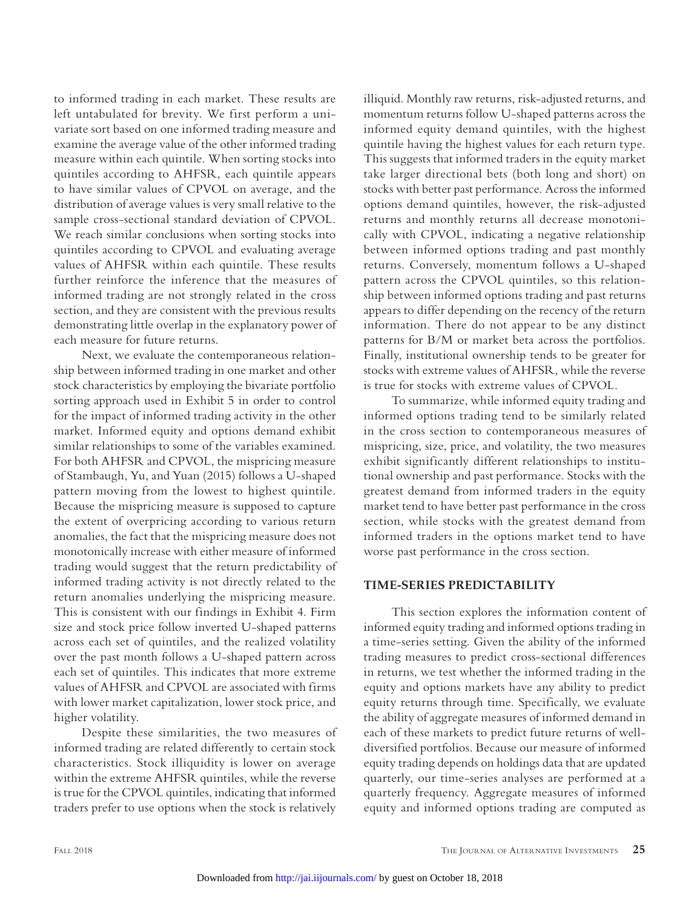to informed trading in each market. These results are left untabulated for brevity. We first perform a univariate sort based on one informed trading measure and examine the average value of the other informed trading measure within each quintile. When sorting stocks into quintiles according to AHFSR, each quintile appears to have similar values of CPVOL on average, and the distribution of average values is very small relative to the sample cross-sectional standard deviation of CPVOL. We reach similar conclusions when sorting stocks into quintiles according to CPVOL and evaluating average values of AHFSR within each quintile. These results further reinforce the inference that the measures of informed trading are not strongly related in the cross section, and they are consistent with the previous results demonstrating little overlap in the explanatory power of each measure for future returns.

Next, we evaluate the contemporaneous relationship between informed trading in one market and other stock characteristics by employing the bivariate portfolio sorting approach used in Exhibit 5 in order to control for the impact of informed trading activity in the other market. Informed equity and options demand exhibit similar relationships to some of the variables examined. For both AHFSR and CPVOL, the mispricing measure of Stambaugh, Yu, and Yuan (2015) follows a U-shaped pattern moving from the lowest to highest quintile. Because the mispricing measure is supposed to capture the extent of overpricing according to various return anomalies, the fact that the mispricing measure does not monotonically increase with either measure of informed trading would suggest that the return predictability of informed trading activity is not directly related to the return anomalies underlying the mispricing measure. This is consistent with our findings in Exhibit 4. Firm size and stock price follow inverted U-shaped patterns across each set of quintiles, and the realized volatility over the past month follows a U-shaped pattern across each set of quintiles. This indicates that more extreme values of AHFSR and CPVOL are associated with firms with lower market capitalization, lower stock price, and higher volatility.

Despite these similarities, the two measures of informed trading are related differently to certain stock characteristics. Stock illiquidity is lower on average within the extreme AHFSR quintiles, while the reverse is true for the CPVOL quintiles, indicating that informed traders prefer to use options when the stock is relatively

illiquid. Monthly raw returns, risk-adjusted returns, and momentum returns follow U-shaped patterns across the informed equity demand quintiles, with the highest quintile having the highest values for each return type. This suggests that informed traders in the equity market take larger directional bets (both long and short) on stocks with better past performance. Across the informed options demand quintiles, however, the risk-adjusted returns and monthly returns all decrease monotonically with CPVOL, indicating a negative relationship between informed options trading and past monthly returns. Conversely, momentum follows a U-shaped pattern across the CPVOL quintiles, so this relationship between informed options trading and past returns appears to differ depending on the recency of the return information. There do not appear to be any distinct patterns for B/M or market beta across the portfolios. Finally, institutional ownership tends to be greater for stocks with extreme values of AHFSR, while the reverse is true for stocks with extreme values of CPVOL.

To summarize, while informed equity trading and informed options trading tend to be similarly related in the cross section to contemporaneous measures of mispricing, size, price, and volatility, the two measures exhibit significantly different relationships to institutional ownership and past performance. Stocks with the greatest demand from informed traders in the equity market tend to have better past performance in the cross section, while stocks with the greatest demand from informed traders in the options market tend to have worse past performance in the cross section.

### **TIME-SERIES PREDICTABILITY**

This section explores the information content of informed equity trading and informed options trading in a time-series setting. Given the ability of the informed trading measures to predict cross-sectional differences in returns, we test whether the informed trading in the equity and options markets have any ability to predict equity returns through time. Specifically, we evaluate the ability of aggregate measures of informed demand in each of these markets to predict future returns of welldiversified portfolios. Because our measure of informed equity trading depends on holdings data that are updated quarterly, our time-series analyses are performed at a quarterly frequency. Aggregate measures of informed equity and informed options trading are computed as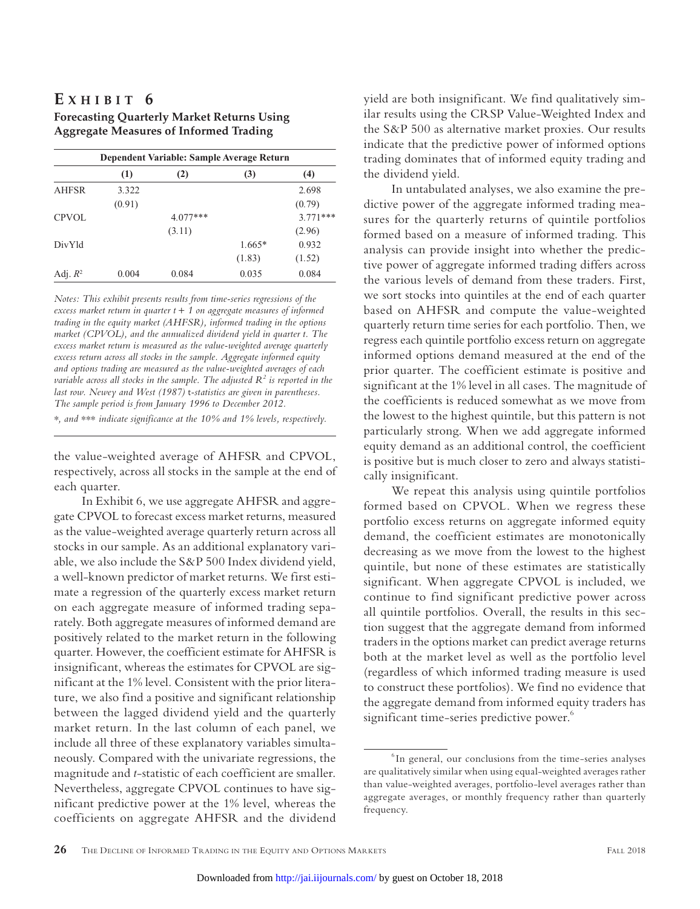# **E x h i b i t 6**

**Forecasting Quarterly Market Returns Using Aggregate Measures of Informed Trading**

|              | Dependent Variable: Sample Average Return |            |          |            |  |
|--------------|-------------------------------------------|------------|----------|------------|--|
|              | (1)                                       | (2)        | (3)      | (4)        |  |
| <b>AHFSR</b> | 3.322                                     |            |          | 2.698      |  |
|              | (0.91)                                    |            |          | (0.79)     |  |
| CPVOL        |                                           | $4.077***$ |          | $3.771***$ |  |
|              |                                           | (3.11)     |          | (2.96)     |  |
| DivYld       |                                           |            | $1.665*$ | 0.932      |  |
|              |                                           |            | (1.83)   | (1.52)     |  |
| Adj. $R^2$   | 0.004                                     | 0.084      | 0.035    | 0.084      |  |

*Notes: This exhibit presents results from time-series regressions of the excess market return in quarter t* + *1 on aggregate measures of informed trading in the equity market (AHFSR), informed trading in the options market (CPVOL), and the annualized dividend yield in quarter t. The excess market return is measured as the value-weighted average quarterly excess return across all stocks in the sample. Aggregate informed equity and options trading are measured as the value-weighted averages of each variable across all stocks in the sample. The adjusted*  $R^2$  *is reported in the last row. Newey and West (1987)* t*-statistics are given in parentheses. The sample period is from January 1996 to December 2012.* \**, and* \*\*\* *indicate significance at the 10% and 1% levels, respectively.*

the value-weighted average of AHFSR and CPVOL, respectively, across all stocks in the sample at the end of

each quarter. In Exhibit 6, we use aggregate AHFSR and aggregate CPVOL to forecast excess market returns, measured as the value-weighted average quarterly return across all stocks in our sample. As an additional explanatory variable, we also include the S&P 500 Index dividend yield, a well-known predictor of market returns. We first estimate a regression of the quarterly excess market return on each aggregate measure of informed trading separately. Both aggregate measures of informed demand are positively related to the market return in the following quarter. However, the coefficient estimate for AHFSR is insignificant, whereas the estimates for CPVOL are significant at the 1% level. Consistent with the prior literature, we also find a positive and significant relationship between the lagged dividend yield and the quarterly market return. In the last column of each panel, we include all three of these explanatory variables simultaneously. Compared with the univariate regressions, the magnitude and *t*-statistic of each coefficient are smaller. Nevertheless, aggregate CPVOL continues to have significant predictive power at the 1% level, whereas the coefficients on aggregate AHFSR and the dividend

yield are both insignificant. We find qualitatively similar results using the CRSP Value-Weighted Index and the S&P 500 as alternative market proxies. Our results indicate that the predictive power of informed options trading dominates that of informed equity trading and the dividend yield.

In untabulated analyses, we also examine the predictive power of the aggregate informed trading measures for the quarterly returns of quintile portfolios formed based on a measure of informed trading. This analysis can provide insight into whether the predictive power of aggregate informed trading differs across the various levels of demand from these traders. First, we sort stocks into quintiles at the end of each quarter based on AHFSR and compute the value-weighted quarterly return time series for each portfolio. Then, we regress each quintile portfolio excess return on aggregate informed options demand measured at the end of the prior quarter. The coefficient estimate is positive and significant at the 1% level in all cases. The magnitude of the coefficients is reduced somewhat as we move from the lowest to the highest quintile, but this pattern is not particularly strong. When we add aggregate informed equity demand as an additional control, the coefficient is positive but is much closer to zero and always statistically insignificant.

We repeat this analysis using quintile portfolios formed based on CPVOL. When we regress these portfolio excess returns on aggregate informed equity demand, the coefficient estimates are monotonically decreasing as we move from the lowest to the highest quintile, but none of these estimates are statistically significant. When aggregate CPVOL is included, we continue to find significant predictive power across all quintile portfolios. Overall, the results in this section suggest that the aggregate demand from informed traders in the options market can predict average returns both at the market level as well as the portfolio level (regardless of which informed trading measure is used to construct these portfolios). We find no evidence that the aggregate demand from informed equity traders has significant time-series predictive power.<sup>6</sup>

<sup>6</sup> In general, our conclusions from the time-series analyses are qualitatively similar when using equal-weighted averages rather than value-weighted averages, portfolio-level averages rather than aggregate averages, or monthly frequency rather than quarterly frequency.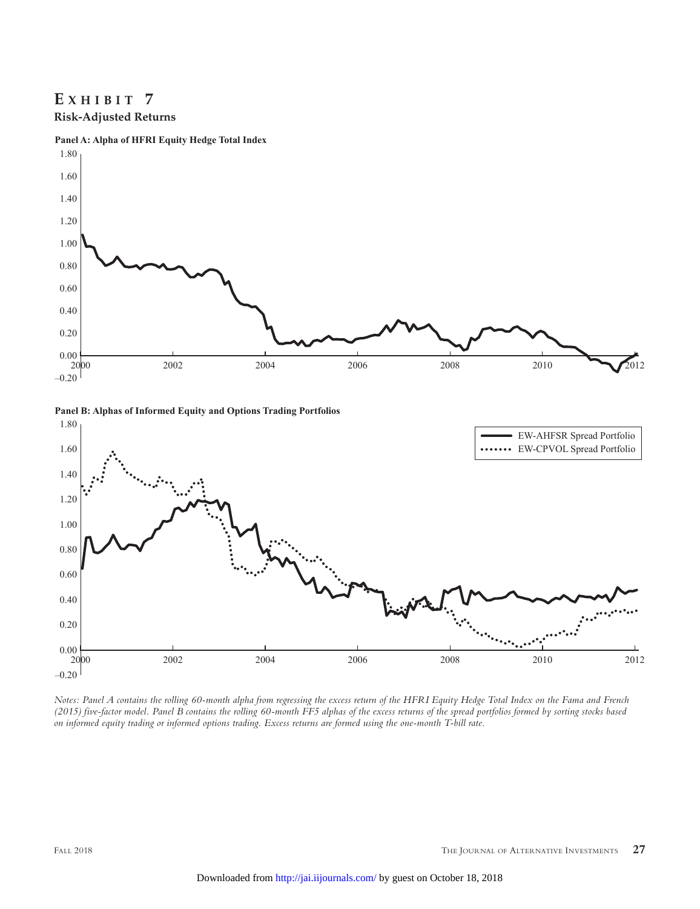# **E x h i b i t 7 Risk-Adjusted Returns**







*Notes: Panel A contains the rolling 60-month alpha from regressing the excess return of the HFRI Equity Hedge Total Index on the Fama and French (2015) five-factor model. Panel B contains the rolling 60-month FF5 alphas of the excess returns of the spread portfolios formed by sorting stocks based on informed equity trading or informed options trading. Excess returns are formed using the one-month T-bill rate.*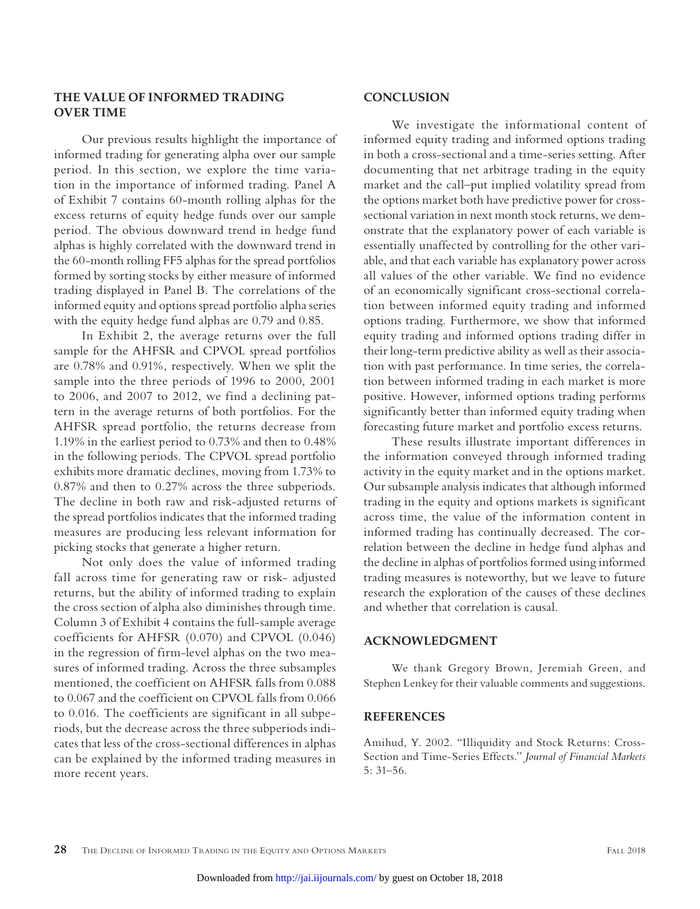## **THE VALUE OF INFORMED TRADING OVER TIME**

Our previous results highlight the importance of informed trading for generating alpha over our sample period. In this section, we explore the time variation in the importance of informed trading. Panel A of Exhibit 7 contains 60-month rolling alphas for the excess returns of equity hedge funds over our sample period. The obvious downward trend in hedge fund alphas is highly correlated with the downward trend in the 60-month rolling FF5 alphas for the spread portfolios formed by sorting stocks by either measure of informed trading displayed in Panel B. The correlations of the informed equity and options spread portfolio alpha series with the equity hedge fund alphas are 0.79 and 0.85.

In Exhibit 2, the average returns over the full sample for the AHFSR and CPVOL spread portfolios are 0.78% and 0.91%, respectively. When we split the sample into the three periods of 1996 to 2000, 2001 to 2006, and 2007 to 2012, we find a declining pattern in the average returns of both portfolios. For the AHFSR spread portfolio, the returns decrease from 1.19% in the earliest period to 0.73% and then to 0.48% in the following periods. The CPVOL spread portfolio exhibits more dramatic declines, moving from 1.73% to 0.87% and then to 0.27% across the three subperiods. The decline in both raw and risk-adjusted returns of the spread portfolios indicates that the informed trading measures are producing less relevant information for picking stocks that generate a higher return.

Not only does the value of informed trading fall across time for generating raw or risk- adjusted returns, but the ability of informed trading to explain the cross section of alpha also diminishes through time. Column 3 of Exhibit 4 contains the full-sample average coefficients for AHFSR (0.070) and CPVOL (0.046) in the regression of firm-level alphas on the two measures of informed trading. Across the three subsamples mentioned, the coefficient on AHFSR falls from 0.088 to 0.067 and the coefficient on CPVOL falls from 0.066 to 0.016. The coefficients are significant in all subperiods, but the decrease across the three subperiods indicates that less of the cross-sectional differences in alphas can be explained by the informed trading measures in more recent years.

#### **CONCLUSION**

We investigate the informational content of informed equity trading and informed options trading in both a cross-sectional and a time-series setting. After documenting that net arbitrage trading in the equity market and the call–put implied volatility spread from the options market both have predictive power for crosssectional variation in next month stock returns, we demonstrate that the explanatory power of each variable is essentially unaffected by controlling for the other variable, and that each variable has explanatory power across all values of the other variable. We find no evidence of an economically significant cross-sectional correlation between informed equity trading and informed options trading. Furthermore, we show that informed equity trading and informed options trading differ in their long-term predictive ability as well as their association with past performance. In time series, the correlation between informed trading in each market is more positive. However, informed options trading performs significantly better than informed equity trading when forecasting future market and portfolio excess returns.

These results illustrate important differences in the information conveyed through informed trading activity in the equity market and in the options market. Our subsample analysis indicates that although informed trading in the equity and options markets is significant across time, the value of the information content in informed trading has continually decreased. The correlation between the decline in hedge fund alphas and the decline in alphas of portfolios formed using informed trading measures is noteworthy, but we leave to future research the exploration of the causes of these declines and whether that correlation is causal.

#### **ACKNOWLEDGMENT**

We thank Gregory Brown, Jeremiah Green, and Stephen Lenkey for their valuable comments and suggestions.

#### **REFERENCES**

Amihud, Y. 2002. "Illiquidity and Stock Returns: Cross-Section and Time-Series Effects." *Journal of Financial Markets*  5: 31–56.